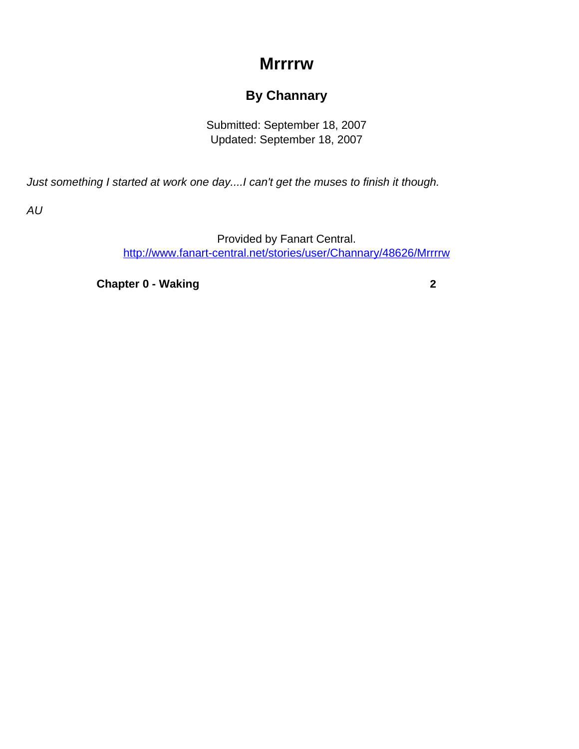## **Mrrrrw**

## **By Channary**

Submitted: September 18, 2007 Updated: September 18, 2007

<span id="page-0-0"></span>Just something I started at work one day....I can't get the muses to finish it though.

AU

Provided by Fanart Central. [http://www.fanart-central.net/stories/user/Channary/48626/Mrrrrw](#page-0-0)

**[Chapter 0 - Waking](#page-1-0)** [2](#page-1-0)